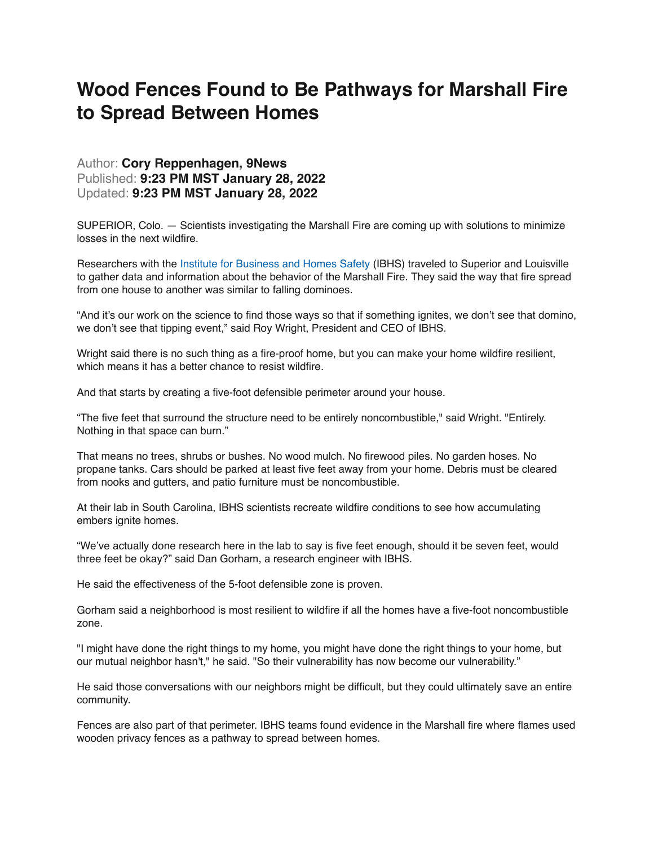## **Wood Fences Found to Be Pathways for Marshall Fire to Spread Between Homes**

## Author: **Cory Reppenhagen, 9News**  Published: **9:23 PM MST January 28, 2022**  Updated: **9:23 PM MST January 28, 2022**

SUPERIOR, Colo. — Scientists investigating the Marshall Fire are coming up with solutions to minimize losses in the next wildfire.

Researchers with the [Institute for Business and Homes Safety](https://ibhs.org/about-ibhs/) (IBHS) traveled to Superior and Louisville to gather data and information about the behavior of the Marshall Fire. They said the way that fire spread from one house to another was similar to falling dominoes.

"And it's our work on the science to find those ways so that if something ignites, we don't see that domino, we don't see that tipping event," said Roy Wright, President and CEO of IBHS.

Wright said there is no such thing as a fire-proof home, but you can make your home wildfire resilient, which means it has a better chance to resist wildfire.

And that starts by creating a five-foot defensible perimeter around your house.

"The five feet that surround the structure need to be entirely noncombustible," said Wright. "Entirely. Nothing in that space can burn."

That means no trees, shrubs or bushes. No wood mulch. No firewood piles. No garden hoses. No propane tanks. Cars should be parked at least five feet away from your home. Debris must be cleared from nooks and gutters, and patio furniture must be noncombustible.

At their lab in South Carolina, IBHS scientists recreate wildfire conditions to see how accumulating embers ignite homes.

"We've actually done research here in the lab to say is five feet enough, should it be seven feet, would three feet be okay?" said Dan Gorham, a research engineer with IBHS.

He said the effectiveness of the 5-foot defensible zone is proven.

Gorham said a neighborhood is most resilient to wildfire if all the homes have a five-foot noncombustible zone.

"I might have done the right things to my home, you might have done the right things to your home, but our mutual neighbor hasn't," he said. "So their vulnerability has now become our vulnerability."

He said those conversations with our neighbors might be difficult, but they could ultimately save an entire community.

Fences are also part of that perimeter. IBHS teams found evidence in the Marshall fire where flames used wooden privacy fences as a pathway to spread between homes.